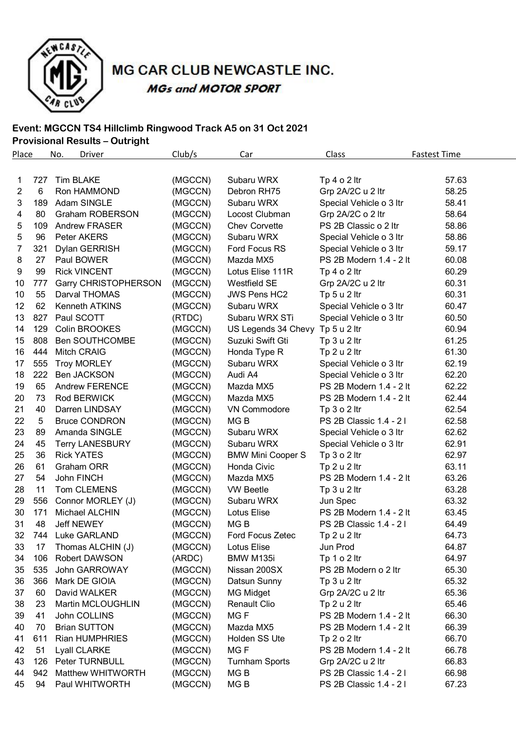

MG CAR CLUB NEWCASTLE INC. **MGs and MOTOR SPORT** 

### **Event: MGCCN TS4 Hillclimb Ringwood Track A5 on 31 Oct 2021**

## **Provisional Results – Outright**

| <b>Place</b>   |                 | No.<br>Driver               | Club/s  | Car                              | Class                   | <b>Fastest Time</b> |
|----------------|-----------------|-----------------------------|---------|----------------------------------|-------------------------|---------------------|
|                |                 |                             |         |                                  |                         |                     |
| 1.             | 727             | <b>Tim BLAKE</b>            | (MGCCN) | Subaru WRX                       | Tp $4 \circ 2$ ltr      | 57.63               |
| $\overline{2}$ | $6\phantom{1}6$ | Ron HAMMOND                 | (MGCCN) | Debron RH75                      | Grp 2A/2C u 2 ltr       | 58.25               |
| 3              | 189             | Adam SINGLE                 | (MGCCN) | Subaru WRX                       | Special Vehicle o 3 ltr | 58.41               |
| 4              | 80              | <b>Graham ROBERSON</b>      | (MGCCN) | Locost Clubman                   | Grp 2A/2C o 2 ltr       | 58.64               |
| 5              | 109             | <b>Andrew FRASER</b>        | (MGCCN) | <b>Chev Corvette</b>             | PS 2B Classic o 2 ltr   | 58.86               |
| 5              | 96              | Peter AKERS                 | (MGCCN) | Subaru WRX                       | Special Vehicle o 3 ltr | 58.86               |
| 7              | 321             | Dylan GERRISH               | (MGCCN) | Ford Focus RS                    | Special Vehicle o 3 ltr | 59.17               |
| 8              | 27              | Paul BOWER                  | (MGCCN) | Mazda MX5                        | PS 2B Modern 1.4 - 2 lt | 60.08               |
| 9              | 99              | <b>Rick VINCENT</b>         | (MGCCN) | Lotus Elise 111R                 | Tp $4 \circ 2$ ltr      | 60.29               |
| 10             | 777             | <b>Garry CHRISTOPHERSON</b> | (MGCCN) | Westfield SE                     | Grp 2A/2C u 2 ltr       | 60.31               |
| 10             | 55              | Darval THOMAS               | (MGCCN) | <b>JWS Pens HC2</b>              | Tp 5 u 2 ltr            | 60.31               |
| 12             | 62              | Kenneth ATKINS              | (MGCCN) | Subaru WRX                       | Special Vehicle o 3 ltr | 60.47               |
| 13             | 827             | Paul SCOTT                  | (RTDC)  | Subaru WRX STi                   | Special Vehicle o 3 ltr | 60.50               |
| 14             | 129             | Colin BROOKES               | (MGCCN) | US Legends 34 Chevy Tp 5 u 2 ltr |                         | 60.94               |
| 15             | 808             | Ben SOUTHCOMBE              | (MGCCN) | Suzuki Swift Gti                 | Tp 3 u 2 ltr            | 61.25               |
| 16             | 444             | <b>Mitch CRAIG</b>          | (MGCCN) | Honda Type R                     | Tp 2 u 2 ltr            | 61.30               |
| 17             | 555             | <b>Troy MORLEY</b>          | (MGCCN) | Subaru WRX                       | Special Vehicle o 3 ltr | 62.19               |
| 18             | 222             | <b>Ben JACKSON</b>          | (MGCCN) | Audi A4                          | Special Vehicle o 3 ltr | 62.20               |
| 19             | 65              | <b>Andrew FERENCE</b>       | (MGCCN) | Mazda MX5                        | PS 2B Modern 1.4 - 2 lt | 62.22               |
| 20             | 73              | Rod BERWICK                 | (MGCCN) | Mazda MX5                        | PS 2B Modern 1.4 - 2 lt | 62.44               |
| 21             | 40              | Darren LINDSAY              | (MGCCN) | VN Commodore                     | Tp $3$ o $2$ ltr        | 62.54               |
| 22             | 5               | <b>Bruce CONDRON</b>        | (MGCCN) | MG <sub>B</sub>                  | PS 2B Classic 1.4 - 21  | 62.58               |
| 23             | 89              | Amanda SINGLE               | (MGCCN) | Subaru WRX                       | Special Vehicle o 3 ltr | 62.62               |
| 24             | 45              | <b>Terry LANESBURY</b>      | (MGCCN) | Subaru WRX                       | Special Vehicle o 3 ltr | 62.91               |
| 25             | 36              | <b>Rick YATES</b>           | (MGCCN) | <b>BMW Mini Cooper S</b>         | Tp $3$ o $2$ ltr        | 62.97               |
| 26             | 61              | Graham ORR                  | (MGCCN) | Honda Civic                      | Tp 2 u 2 ltr            | 63.11               |
| 27             | 54              | John FINCH                  | (MGCCN) | Mazda MX5                        | PS 2B Modern 1.4 - 2 lt | 63.26               |
| 28             | 11              | Tom CLEMENS                 | (MGCCN) | <b>VW Beetle</b>                 | Tp 3 u 2 ltr            | 63.28               |
| 29             | 556             | Connor MORLEY (J)           | (MGCCN) | Subaru WRX                       | Jun Spec                | 63.32               |
| 30             | 171             | Michael ALCHIN              | (MGCCN) | Lotus Elise                      | PS 2B Modern 1.4 - 2 lt | 63.45               |
| 31             | 48              | <b>Jeff NEWEY</b>           | (MGCCN) | MG <sub>B</sub>                  | PS 2B Classic 1.4 - 21  | 64.49               |
| 32             | 744             | Luke GARLAND                | (MGCCN) | Ford Focus Zetec                 | Tp 2 u 2 ltr            | 64.73               |
| 33             | 17              | Thomas ALCHIN (J)           | (MGCCN) | Lotus Elise                      | Jun Prod                | 64.87               |
| 34             | 106             | Robert DAWSON               | (ARDC)  | BMW M135i                        | Tp 1 o 2 ltr            | 64.97               |
| 35             | 535             | John GARROWAY               | (MGCCN) | Nissan 200SX                     | PS 2B Modern o 2 ltr    | 65.30               |
| 36             | 366             | Mark DE GIOIA               | (MGCCN) | Datsun Sunny                     | Tp 3 u 2 ltr            | 65.32               |
| 37             | 60              | David WALKER                | (MGCCN) | <b>MG Midget</b>                 | Grp 2A/2C u 2 ltr       | 65.36               |
| 38             | 23              | Martin MCLOUGHLIN           | (MGCCN) | Renault Clio                     | Tp 2 u 2 ltr            | 65.46               |
| 39             | 41              | John COLLINS                | (MGCCN) | MG <sub>F</sub>                  | PS 2B Modern 1.4 - 2 lt | 66.30               |
| 40             | 70              | <b>Brian SUTTON</b>         | (MGCCN) | Mazda MX5                        | PS 2B Modern 1.4 - 2 lt | 66.39               |
| 41             | 611             | <b>Rian HUMPHRIES</b>       | (MGCCN) | Holden SS Ute                    | Tp $2 o 2$ ltr          | 66.70               |
| 42             | 51              | Lyall CLARKE                | (MGCCN) | MG <sub>F</sub>                  | PS 2B Modern 1.4 - 2 lt | 66.78               |
| 43             | 126             | Peter TURNBULL              | (MGCCN) | <b>Turnham Sports</b>            | Grp 2A/2C u 2 ltr       | 66.83               |
| 44             | 942             | <b>Matthew WHITWORTH</b>    | (MGCCN) | MG <sub>B</sub>                  | PS 2B Classic 1.4 - 21  | 66.98               |
| 45             | 94              | Paul WHITWORTH              | (MGCCN) | MG B                             | PS 2B Classic 1.4 - 21  | 67.23               |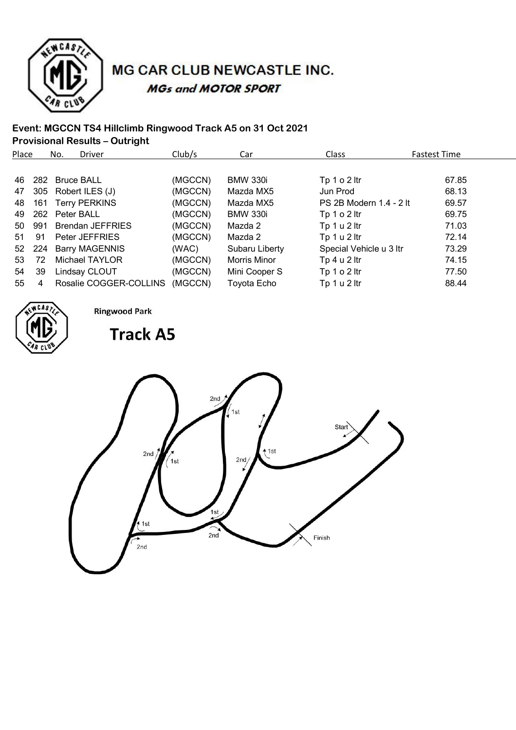

# MG CAR CLUB NEWCASTLE INC. **MGs and MOTOR SPORT**

## **Event: MGCCN TS4 Hillclimb Ringwood Track A5 on 31 Oct 2021**

**Provisional Results – Outright**

| Place |     | No.            | <b>Driver</b>           | Club/s  | Car             | Class                   | <b>Fastest Time</b> |
|-------|-----|----------------|-------------------------|---------|-----------------|-------------------------|---------------------|
|       |     |                |                         |         |                 |                         |                     |
| 46    |     | 282 Bruce BALL |                         | (MGCCN) | <b>BMW 330i</b> | Tp 1 o 2 ltr            | 67.85               |
| 47    |     |                | 305 Robert ILES (J)     | (MGCCN) | Mazda MX5       | Jun Prod                | 68.13               |
| 48    | 161 |                | <b>Terry PERKINS</b>    | (MGCCN) | Mazda MX5       | PS 2B Modern 1.4 - 2 lt | 69.57               |
| 49    |     | 262 Peter BALL |                         | (MGCCN) | <b>BMW 330i</b> | Tp $1 o 2$ ltr          | 69.75               |
| 50    | 991 |                | <b>Brendan JEFFRIES</b> | (MGCCN) | Mazda 2         | Tp 1 u 2 ltr            | 71.03               |
| 51    | 91  |                | Peter JEFFRIES          | (MGCCN) | Mazda 2         | Tp 1 u 2 ltr            | 72.14               |
| 52    | 224 |                | <b>Barry MAGENNIS</b>   | (WAC)   | Subaru Liberty  | Special Vehicle u 3 ltr | 73.29               |
| 53    | 72  |                | Michael TAYLOR          | (MGCCN) | Morris Minor    | Tp 4 u 2 ltr            | 74.15               |
| 54    | 39  |                | Lindsay CLOUT           | (MGCCN) | Mini Cooper S   | Tp $1 o 2$ ltr          | 77.50               |
| 55    | 4   |                | Rosalie COGGER-COLLINS  | (MGCCN) | Toyota Echo     | Tp 1 u 2 ltr            | 88.44               |



**Ringwood Park** 

 $2nd$ 

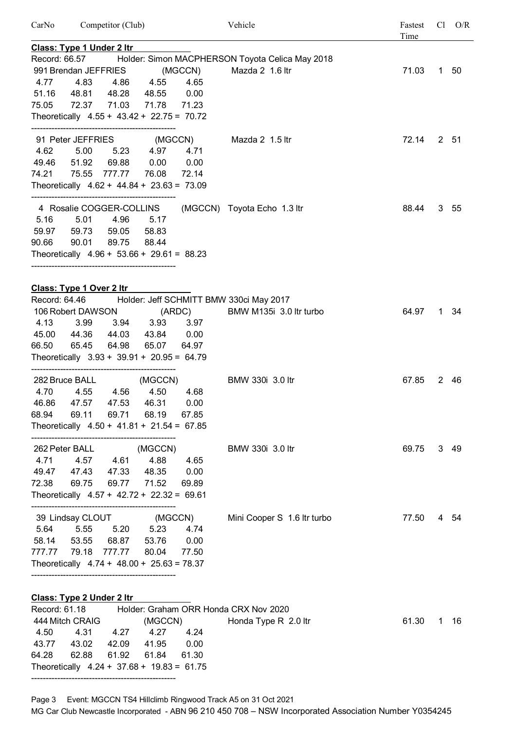| CarNo         | Competitor (Club)                |                    |                                                           |                           | Vehicle                                                       | Fastest<br>Time |    | $Cl$ $O/R$ |
|---------------|----------------------------------|--------------------|-----------------------------------------------------------|---------------------------|---------------------------------------------------------------|-----------------|----|------------|
|               | Class: Type 1 Under 2 Itr        |                    |                                                           |                           |                                                               |                 |    |            |
|               |                                  |                    |                                                           |                           | Record: 66.57 Holder: Simon MACPHERSON Toyota Celica May 2018 |                 |    |            |
|               | 991 Brendan JEFFRIES             |                    |                                                           | (MGCCN)                   | Mazda 2 1.6 ltr                                               | 71.03           |    | 1 50       |
| 4.77          | 4.83                             | 4.86               | 4.55                                                      | 4.65                      |                                                               |                 |    |            |
|               |                                  |                    | 51.16 48.81 48.28 48.55 0.00                              |                           |                                                               |                 |    |            |
|               |                                  |                    | 75.05 72.37 71.03 71.78 71.23                             |                           |                                                               |                 |    |            |
|               |                                  |                    | Theoretically 4.55 + 43.42 + 22.75 = 70.72                |                           |                                                               |                 |    |            |
|               |                                  |                    |                                                           | 91 Peter JEFFRIES (MGCCN) | Mazda 2 1.5 ltr                                               | 72.14           |    | 2 51       |
| 4.62          | 5.00                             |                    | 5.23 4.97 4.71                                            |                           |                                                               |                 |    |            |
|               |                                  |                    | 49.46 51.92 69.88 0.00 0.00                               |                           |                                                               |                 |    |            |
| 74.21         |                                  | 75.55 777.77 76.08 |                                                           | 72.14                     |                                                               |                 |    |            |
|               |                                  |                    | Theoretically $4.62 + 44.84 + 23.63 = 73.09$              |                           |                                                               |                 |    |            |
|               |                                  |                    |                                                           |                           |                                                               |                 |    |            |
|               | 4 Rosalie COGGER-COLLINS         |                    |                                                           |                           | (MGCCN) Toyota Echo 1.3 ltr                                   | 88.44           |    | 3, 55      |
| 5.16          | 5.01                             | 4.96 5.17          |                                                           |                           |                                                               |                 |    |            |
| 59.97         |                                  | 59.73 59.05 58.83  |                                                           |                           |                                                               |                 |    |            |
|               | 90.66 90.01 89.75                |                    | 88.44                                                     |                           |                                                               |                 |    |            |
|               |                                  |                    | Theoretically $4.96 + 53.66 + 29.61 = 88.23$              |                           |                                                               |                 |    |            |
|               |                                  |                    |                                                           |                           |                                                               |                 |    |            |
|               | Class: Type 1 Over 2 Itr         |                    |                                                           |                           |                                                               |                 |    |            |
|               |                                  |                    |                                                           |                           | Record: 64.46 Holder: Jeff SCHMITT BMW 330ci May 2017         |                 |    |            |
|               | 106 Robert DAWSON                |                    | (ARDC)                                                    |                           | BMW M135i 3.0 ltr turbo                                       | 64.97           |    | 1 34       |
| 4.13          |                                  |                    | 3.99 3.94 3.93                                            | 3.97                      |                                                               |                 |    |            |
| 66.50         |                                  |                    | 45.00  44.36  44.03  43.84  0.00                          |                           |                                                               |                 |    |            |
|               |                                  | 65.45 64.98        | 65.07 64.97<br>Theoretically 3.93 + 39.91 + 20.95 = 64.79 |                           |                                                               |                 |    |            |
|               |                                  |                    |                                                           |                           |                                                               |                 |    |            |
|               |                                  |                    | 282 Bruce BALL (MGCCN)                                    |                           | BMW 330i 3.0 ltr                                              | 67.85           |    | 2 46       |
| 4.70          |                                  | 4.55 4.56          | 4.50                                                      | 4.68                      |                                                               |                 |    |            |
|               |                                  |                    | 46.86 47.57 47.53 46.31 0.00                              |                           |                                                               |                 |    |            |
| 68.94         | 69.11                            | 69.71              | 68.19                                                     | 67.85                     |                                                               |                 |    |            |
|               |                                  |                    | Theoretically $4.50 + 41.81 + 21.54 = 67.85$              |                           |                                                               |                 |    |            |
|               |                                  |                    |                                                           |                           |                                                               |                 |    |            |
|               | 262 Peter BALL                   |                    | (MGCCN)                                                   |                           | BMW 330i 3.0 ltr                                              | 69.75           |    | 3 49       |
| 4.71          | 4.57                             | 4.61               | 4.88                                                      | 4.65                      |                                                               |                 |    |            |
| 49.47         | 47.43                            | 47.33              | 48.35                                                     | 0.00                      |                                                               |                 |    |            |
| 72.38         | 69.75                            | 69.77              | 71.52                                                     | 69.89                     |                                                               |                 |    |            |
|               |                                  |                    | Theoretically $4.57 + 42.72 + 22.32 = 69.61$              |                           |                                                               |                 |    |            |
|               | 39 Lindsay CLOUT                 |                    | (MGCCN)                                                   |                           | Mini Cooper S 1.6 Itr turbo                                   | 77.50           |    | 4 54       |
| 5.64          | 5.55                             | 5.20               | 5.23                                                      | 4.74                      |                                                               |                 |    |            |
|               | 58.14 53.55                      | 68.87              | 53.76                                                     | 0.00                      |                                                               |                 |    |            |
| 777.77        | 79.18                            | 777.77             | 80.04                                                     | 77.50                     |                                                               |                 |    |            |
|               |                                  |                    | Theoretically $4.74 + 48.00 + 25.63 = 78.37$              |                           |                                                               |                 |    |            |
|               | <b>Class: Type 2 Under 2 Itr</b> |                    |                                                           |                           |                                                               |                 |    |            |
| Record: 61.18 |                                  |                    |                                                           |                           | Holder: Graham ORR Honda CRX Nov 2020                         |                 |    |            |
|               | 444 Mitch CRAIG                  |                    | (MGCCN)                                                   |                           | Honda Type R 2.0 ltr                                          | 61.30           | 1. | 16         |
| 4.50          | 4.31                             | 4.27               | 4.27 4.24                                                 |                           |                                                               |                 |    |            |

Page 3 Event: MGCCN TS4 Hillclimb Ringwood Track A5 on 31 Oct 2021

43.77 43.02 42.09 41.95 0.00 64.28 62.88 61.92 61.84 61.30 Theoretically 4.24 + 37.68 + 19.83 = 61.75 --------------------------------------------------

MG Car Club Newcastle Incorporated - ABN 96 210 450 708 – NSW Incorporated Association Number Y0354245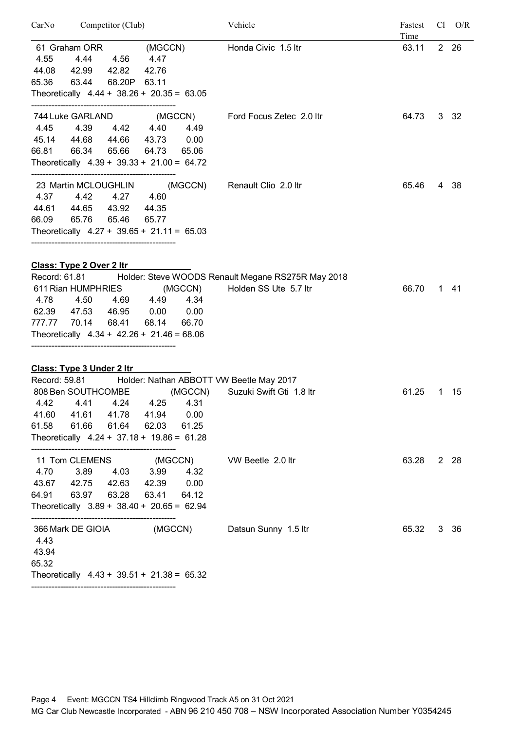| CarNo<br>Competitor (Club)                                                                                                                                                                                                                              |                                  | Vehicle                                                                     | Fastest<br>Time |    | $Cl$ $O/R$ |
|---------------------------------------------------------------------------------------------------------------------------------------------------------------------------------------------------------------------------------------------------------|----------------------------------|-----------------------------------------------------------------------------|-----------------|----|------------|
| 61 Graham ORR<br>(MGCCN)<br>4.44<br>4.55<br>4.56<br>4.47<br>44.08<br>42.99<br>42.82<br>42.76<br>65.36<br>63.44 68.20P 63.11<br>Theoretically $4.44 + 38.26 + 20.35 = 63.05$                                                                             |                                  | Honda Civic 1.5 ltr                                                         | 63.11           |    | 2 26       |
| 744 Luke GARLAND<br>4.42 4.40<br>4.45<br>4.39<br>45.14 44.68<br>44.66 43.73<br>66.81<br>66.34<br>65.66<br>64.73<br>Theoretically $4.39 + 39.33 + 21.00 = 64.72$                                                                                         | (MGCCN)<br>4.49<br>0.00<br>65.06 | Ford Focus Zetec 2.0 Itr                                                    | 64.73           |    | 3 32       |
| 23 Martin MCLOUGHLIN<br>4.37<br>4.27 4.60<br>4.42<br>44.61<br>44.65<br>43.92<br>44.35<br>65.46<br>66.09 65.76<br>65.77<br>Theoretically $4.27 + 39.65 + 21.11 = 65.03$                                                                                  | (MGCCN)                          | Renault Clio 2.0 ltr                                                        | 65.46           |    | 4 38       |
| <b>Class: Type 2 Over 2 ltr</b><br>Record: 61.81<br>611 Rian HUMPHRIES<br>4.78 4.50<br>4.69 4.49 4.34<br>0.00<br>62.39<br>47.53<br>46.95<br>777.77 70.14<br>68.41<br>68.14<br>Theoretically $4.34 + 42.26 + 21.46 = 68.06$                              | (MGCCN)<br>0.00<br>66.70         | Holder: Steve WOODS Renault Megane RS275R May 2018<br>Holden SS Ute 5.7 ltr | 66.70           | 1. | - 41       |
| Class: Type 3 Under 2 Itr<br>Record: 59.81 Holder: Nathan ABBOTT VW Beetle May 2017<br>808 Ben SOUTHCOMBE<br>4.42  4.41  4.24  4.25  4.31<br>41.60 41.61 41.78 41.94 0.00<br>61.58<br>61.66 61.64 62.03<br>Theoretically $4.24 + 37.18 + 19.86 = 61.28$ | (MGCCN)<br>61.25                 | Suzuki Swift Gti 1.8 ltr                                                    | 61.25           | 1  | - 15       |
| 11 Tom CLEMENS (MGCCN)<br>4.70 3.89 4.03 3.99<br>43.67 42.75 42.63 42.39 0.00<br>64.91  63.97  63.28  63.41  64.12<br>Theoretically $3.89 + 38.40 + 20.65 = 62.94$                                                                                      | 4.32                             | VW Beetle 2.0 ltr                                                           | 63.28           |    | 2 28       |
| 366 Mark DE GIOIA (MGCCN) Datsun Sunny 1.5 ltr<br>4.43<br>43.94<br>65.32<br>Theoretically $4.43 + 39.51 + 21.38 = 65.32$                                                                                                                                |                                  |                                                                             | 65.32           |    | 3 36       |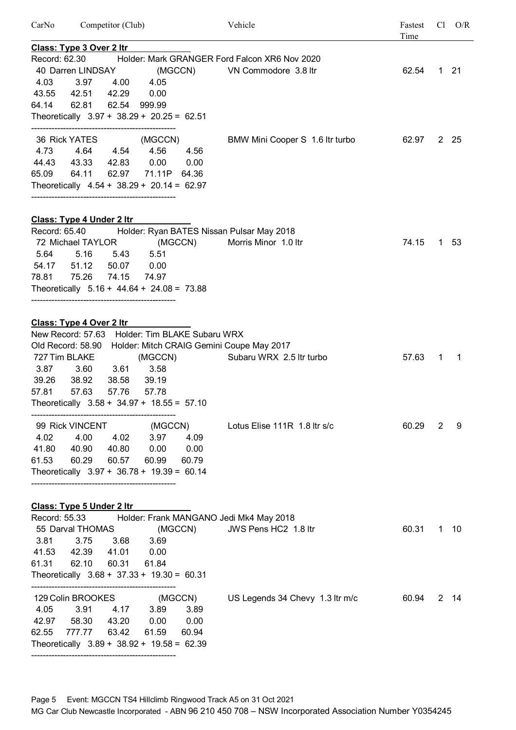| CarNo         | Competitor (Club)<br><b>Class: Type 3 Over 2 Itr</b> |       |                    |       | Vehicle                                       | Fastest<br>Cl<br>Time |   | O/R          |
|---------------|------------------------------------------------------|-------|--------------------|-------|-----------------------------------------------|-----------------------|---|--------------|
|               |                                                      |       |                    |       |                                               |                       |   |              |
| Record: 62.30 |                                                      |       |                    |       | Holder: Mark GRANGER Ford Falcon XR6 Nov 2020 |                       |   |              |
|               | 40 Darren LINDSAY                                    |       | (MGCCN)            |       | VN Commodore 3.8 ltr                          | 62.54                 |   | $1 \quad 21$ |
| 4.03          | 3.97                                                 | 4.00  | 4.05               |       |                                               |                       |   |              |
| 43.55         | 42.51                                                | 42.29 | 0.00               |       |                                               |                       |   |              |
| 64.14         | 62.81                                                | 62.54 | 999.99             |       |                                               |                       |   |              |
|               | Theoretically 3.97 + 38.29 + 20.25 = 62.51           |       |                    |       |                                               |                       |   |              |
|               | 36 Rick YATES                                        |       | (MGCCN)            |       | BMW Mini Cooper S 1.6 Itr turbo               | 62.97                 |   | 2 25         |
| 4.73          | 4.64 4.54                                            |       | 4.56               | 4.56  |                                               |                       |   |              |
| 44.43         | 43.33                                                | 42.83 | 0.00               | 0.00  |                                               |                       |   |              |
| 65.09         | 64.11                                                |       | 62.97 71.11P 64.36 |       |                                               |                       |   |              |
|               | Theoretically $4.54 + 38.29 + 20.14 = 62.97$         |       |                    |       |                                               |                       |   |              |
|               |                                                      |       |                    |       |                                               |                       |   |              |
|               | <b>Class: Type 4 Under 2 Itr</b>                     |       |                    |       |                                               |                       |   |              |
| Record: 65.40 |                                                      |       |                    |       | Holder: Ryan BATES Nissan Pulsar May 2018     |                       |   |              |
|               | 72 Michael TAYLOR                                    |       | (MGCCN)            |       | Morris Minor 1.0 ltr                          | 74.15                 |   | 1 53         |
| 5.64          | 5.16                                                 | 5.43  | 5.51               |       |                                               |                       |   |              |
| 54.17         | 51.12                                                | 50.07 | 0.00               |       |                                               |                       |   |              |
| 78.81         | 75.26                                                | 74.15 | 74.97              |       |                                               |                       |   |              |
|               | Theoretically $5.16 + 44.64 + 24.08 = 73.88$         |       |                    |       |                                               |                       |   |              |
|               |                                                      |       |                    |       |                                               |                       |   |              |
|               | Class: Type 4 Over 2 Itr                             |       |                    |       |                                               |                       |   |              |
|               | New Record: 57.63 Holder: Tim BLAKE Subaru WRX       |       |                    |       |                                               |                       |   |              |
|               | Old Record: 58.90                                    |       |                    |       | Holder: Mitch CRAIG Gemini Coupe May 2017     |                       |   |              |
|               | 727 Tim BLAKE                                        |       | (MGCCN)            |       | Subaru WRX 2.5 ltr turbo                      | 57.63                 | 1 | -1           |
| 3.87          | 3.60                                                 | 3.61  | 3.58               |       |                                               |                       |   |              |
| 39.26         | 38.92                                                | 38.58 | 39.19              |       |                                               |                       |   |              |
| 57.81         | 57.63                                                | 57.76 | 57.78              |       |                                               |                       |   |              |
|               | Theoretically $3.58 + 34.97 + 18.55 = 57.10$         |       |                    |       |                                               |                       |   |              |
|               | 99 Rick VINCENT (MGCCN)                              |       |                    |       | Lotus Elise 111R 1.8 Itr s/c                  | 60.29                 | 2 | 9            |
| 4.02          | 4.00                                                 |       | 4.02 3.97          | 4.09  |                                               |                       |   |              |
|               | 41.80 40.90                                          | 40.80 | 0.00               | 0.00  |                                               |                       |   |              |
|               | 61.53 60.29                                          | 60.57 | 60.99              | 60.79 |                                               |                       |   |              |
|               | Theoretically $3.97 + 36.78 + 19.39 = 60.14$         |       |                    |       |                                               |                       |   |              |
|               |                                                      |       |                    |       |                                               |                       |   |              |
|               | <b>Class: Type 5 Under 2 Itr</b>                     |       |                    |       |                                               |                       |   |              |
|               | Record: 55.33                                        |       |                    |       | Holder: Frank MANGANO Jedi Mk4 May 2018       |                       |   |              |
|               | 55 Darval THOMAS                                     |       | (MGCCN)            |       | JWS Pens HC2 1.8 ltr                          | 60.31                 |   | $1 \t10$     |
| 3.81          | 3.75                                                 | 3.68  | 3.69               |       |                                               |                       |   |              |
|               | 41.53  42.39  41.01                                  |       | 0.00               |       |                                               |                       |   |              |
| 61.31         | 62.10                                                | 60.31 | 61.84              |       |                                               |                       |   |              |
|               | Theoretically $3.68 + 37.33 + 19.30 = 60.31$         |       |                    |       |                                               |                       |   |              |
|               | 129 Colin BROOKES (MGCCN)                            |       |                    |       | US Legends 34 Chevy 1.3 ltr m/c               | 60.94                 |   | $2 \t14$     |
| 4.05          | 3.91                                                 |       | 4.17 3.89          | 3.89  |                                               |                       |   |              |
|               | 42.97 58.30                                          | 43.20 | 0.00               | 0.00  |                                               |                       |   |              |
|               | 62.55 777.77 63.42                                   |       | 61.59              | 60.94 |                                               |                       |   |              |
|               | Theoretically $3.89 + 38.92 + 19.58 = 62.39$         |       |                    |       |                                               |                       |   |              |
|               |                                                      |       |                    |       |                                               |                       |   |              |

Page 5 Event: MGCCN TS4 Hillclimb Ringwood Track A5 on 31 Oct 2021 MG Car Club Newcastle Incorporated - ABN 96 210 450 708 – NSW Incorporated Association Number Y0354245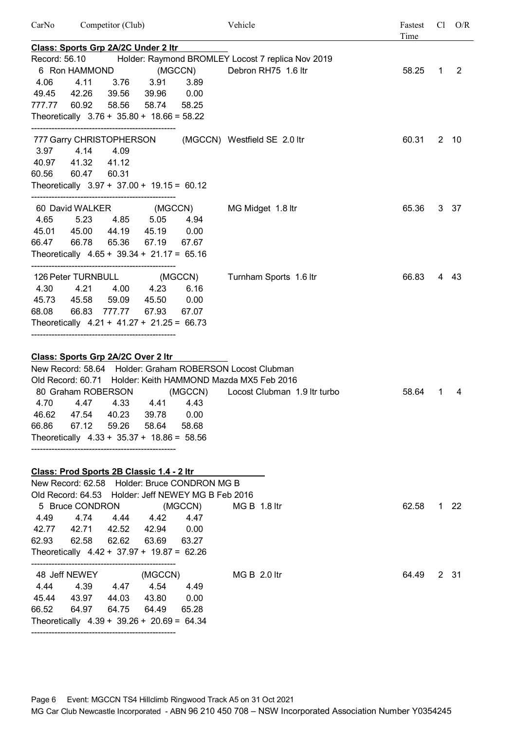| CarNo         | Competitor (Club)                                                                                                                                                                                                                                       |                                                            | Vehicle                                           | Fastest<br>Time | Cl           |              |
|---------------|---------------------------------------------------------------------------------------------------------------------------------------------------------------------------------------------------------------------------------------------------------|------------------------------------------------------------|---------------------------------------------------|-----------------|--------------|--------------|
|               | Class: Sports Grp 2A/2C Under 2 Itr                                                                                                                                                                                                                     |                                                            |                                                   |                 |              |              |
| Record: 56.10 |                                                                                                                                                                                                                                                         |                                                            | Holder: Raymond BROMLEY Locost 7 replica Nov 2019 |                 |              |              |
|               | 6 Ron HAMMOND                                                                                                                                                                                                                                           | (MGCCN)                                                    | Debron RH75 1.6 ltr                               | 58.25           | $\mathbf{1}$ | 2            |
| 4.06          | 4.11<br>3.76                                                                                                                                                                                                                                            | 3.91<br>3.89                                               |                                                   |                 |              |              |
| 49.45         | 42.26<br>39.56                                                                                                                                                                                                                                          | 39.96<br>0.00                                              |                                                   |                 |              |              |
| 777.77        | 60.92<br>58.56                                                                                                                                                                                                                                          | 58.74<br>58.25                                             |                                                   |                 |              |              |
|               | Theoretically $3.76 + 35.80 + 18.66 = 58.22$                                                                                                                                                                                                            |                                                            |                                                   |                 |              |              |
|               | 777 Garry CHRISTOPHERSON                                                                                                                                                                                                                                |                                                            | (MGCCN) Westfield SE 2.0 ltr                      | 60.31           |              | $2 \t10$     |
| 3.97          | 4.14<br>4.09                                                                                                                                                                                                                                            |                                                            |                                                   |                 |              |              |
|               | 40.97 41.32<br>41.12                                                                                                                                                                                                                                    |                                                            |                                                   |                 |              |              |
| 60.56         | 60.31<br>60.47                                                                                                                                                                                                                                          |                                                            |                                                   |                 |              |              |
|               |                                                                                                                                                                                                                                                         | Theoretically $3.97 + 37.00 + 19.15 = 60.12$               |                                                   |                 |              |              |
|               | 60 David WALKER                                                                                                                                                                                                                                         | (MGCCN)                                                    | MG Midget 1.8 ltr                                 | 65.36           |              | 3 37         |
| 4.65          | 4.85 5.05<br>5.23                                                                                                                                                                                                                                       | 4.94                                                       |                                                   |                 |              |              |
|               | 45.01 45.00                                                                                                                                                                                                                                             | 44.19 45.19 0.00                                           |                                                   |                 |              |              |
| 66.47         | 66.78<br>65.36                                                                                                                                                                                                                                          | 67.19<br>67.67                                             |                                                   |                 |              |              |
|               | Theoretically $4.65 + 39.34 + 21.17 = 65.16$                                                                                                                                                                                                            |                                                            |                                                   |                 |              |              |
|               |                                                                                                                                                                                                                                                         | 126 Peter TURNBULL (MGCCN)                                 | Turnham Sports 1.6 ltr                            | 66.83           |              | 4 43         |
|               | 4.30  4.21  4.00  4.23                                                                                                                                                                                                                                  | 6.16                                                       |                                                   |                 |              |              |
|               | 45.73 45.58<br>59.09                                                                                                                                                                                                                                    | 0.00<br>45.50                                              |                                                   |                 |              |              |
| 68.08         | 66.83 777.77 67.93                                                                                                                                                                                                                                      | 67.07                                                      |                                                   |                 |              |              |
|               | Theoretically $4.21 + 41.27 + 21.25 = 66.73$                                                                                                                                                                                                            |                                                            |                                                   |                 |              |              |
|               |                                                                                                                                                                                                                                                         |                                                            |                                                   |                 |              |              |
|               | Class: Sports Grp 2A/2C Over 2 ltr                                                                                                                                                                                                                      |                                                            |                                                   |                 |              |              |
|               |                                                                                                                                                                                                                                                         | New Record: 58.64 Holder: Graham ROBERSON Locost Clubman   |                                                   |                 |              |              |
|               |                                                                                                                                                                                                                                                         | Old Record: 60.71 Holder: Keith HAMMOND Mazda MX5 Feb 2016 |                                                   |                 |              |              |
|               | 80 Graham ROBERSON                                                                                                                                                                                                                                      | (MGCCN)                                                    | Locost Clubman 1.9 Itr turbo                      | 58.64           | 1            | 4            |
|               |                                                                                                                                                                                                                                                         | 4.70  4.47  4.33  4.41  4.43                               |                                                   |                 |              |              |
|               | 46.62 47.54 40.23 39.78 0.00                                                                                                                                                                                                                            |                                                            |                                                   |                 |              |              |
| 66.86         |                                                                                                                                                                                                                                                         | 67.12 59.26 58.64 58.68                                    |                                                   |                 |              |              |
|               | Theoretically $4.33 + 35.37 + 18.86 = 58.56$                                                                                                                                                                                                            |                                                            |                                                   |                 |              |              |
|               |                                                                                                                                                                                                                                                         |                                                            |                                                   |                 |              |              |
|               | Class: Prod Sports 2B Classic 1.4 - 2 ltr                                                                                                                                                                                                               |                                                            |                                                   |                 |              |              |
|               |                                                                                                                                                                                                                                                         | New Record: 62.58 Holder: Bruce CONDRON MG B               |                                                   |                 |              |              |
|               |                                                                                                                                                                                                                                                         | Old Record: 64.53 Holder: Jeff NEWEY MG B Feb 2016         |                                                   |                 |              |              |
|               |                                                                                                                                                                                                                                                         |                                                            |                                                   |                 |              |              |
|               |                                                                                                                                                                                                                                                         |                                                            |                                                   |                 |              |              |
|               |                                                                                                                                                                                                                                                         |                                                            |                                                   |                 |              |              |
|               |                                                                                                                                                                                                                                                         |                                                            |                                                   |                 |              |              |
|               |                                                                                                                                                                                                                                                         |                                                            |                                                   |                 |              |              |
|               | 48 Jeff NEWEY (MGCCN)                                                                                                                                                                                                                                   |                                                            | MG B 2.0 ltr                                      | 64.49           |              | 2 31         |
|               | 4.44 4.39 4.47 4.54 4.49                                                                                                                                                                                                                                |                                                            |                                                   |                 |              |              |
|               | 45.44 43.97 44.03 43.80 0.00                                                                                                                                                                                                                            |                                                            |                                                   |                 |              |              |
|               |                                                                                                                                                                                                                                                         |                                                            |                                                   |                 |              |              |
|               |                                                                                                                                                                                                                                                         |                                                            |                                                   |                 |              |              |
|               | 5 Bruce CONDRON (MGCCN)<br>4.49  4.74  4.44  4.42  4.47<br>42.77 42.71 42.52 42.94 0.00<br>62.93 62.58 62.62 63.69 63.27<br>Theoretically 4.42 + 37.97 + 19.87 = 62.26<br>66.52 64.97 64.75 64.49 65.28<br>Theoretically $4.39 + 39.26 + 20.69 = 64.34$ |                                                            | $MG B 1.8$ ltr                                    | 62.58           |              | $1 \quad 22$ |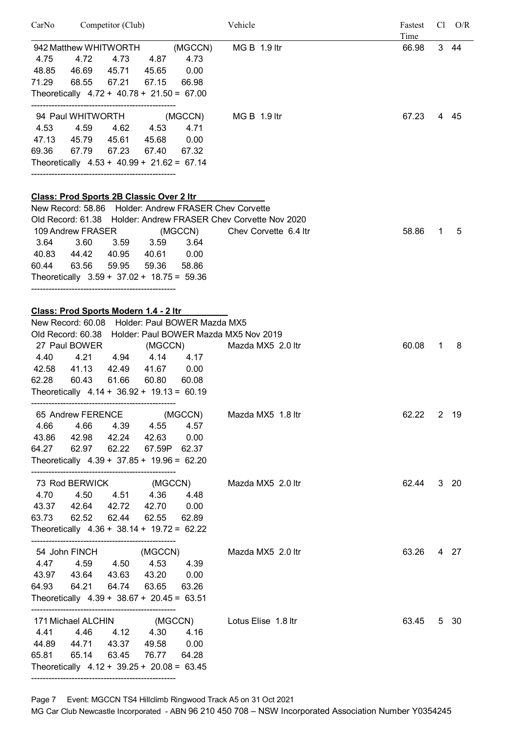| CarNo         | Competitor (Club)                                                             |                                                                              | Vehicle                                                        | Fastest<br>Time | $Cl$ $O/R$ |
|---------------|-------------------------------------------------------------------------------|------------------------------------------------------------------------------|----------------------------------------------------------------|-----------------|------------|
| 4.75<br>48.85 | 4.72<br>46.69  45.71  45.65<br>71.29 68.55<br>67.21                           | 942 Matthew WHITWORTH (MGCCN)<br>4.73<br>4.73 4.87<br>0.00<br>67.15<br>66.98 | $MG B 1.9$ ltr                                                 | 66.98           | 3 44       |
|               | Theoretically $4.72 + 40.78 + 21.50 = 67.00$                                  |                                                                              |                                                                |                 |            |
|               |                                                                               | 94 Paul WHITWORTH (MGCCN) MG B 1.9 ltr                                       |                                                                | 67.23           | 4 45       |
| 4.53          | 4.59                                                                          | 4.62 4.53<br>4.71                                                            |                                                                |                 |            |
|               | 47.13  45.79  45.61  45.68  0.00                                              |                                                                              |                                                                |                 |            |
|               | 69.36 67.79 67.23 67.40 67.32<br>Theoretically $4.53 + 40.99 + 21.62 = 67.14$ |                                                                              |                                                                |                 |            |
|               | Class: Prod Sports 2B Classic Over 2 Itr                                      |                                                                              |                                                                |                 |            |
|               |                                                                               | New Record: 58.86 Holder: Andrew FRASER Chev Corvette                        |                                                                |                 |            |
|               |                                                                               |                                                                              | Old Record: 61.38 Holder: Andrew FRASER Chev Corvette Nov 2020 |                 |            |
|               |                                                                               |                                                                              | 109 Andrew FRASER (MGCCN) Chev Corvette 6.4 Itr                | 58.86<br>1.     | 5          |
| 3.64          | 3.60<br>$3.59$ $3.59$                                                         | 3.64                                                                         |                                                                |                 |            |
|               | 40.83 44.42 40.95 40.61 0.00                                                  |                                                                              |                                                                |                 |            |
|               | 60.44 63.56 59.95 59.36                                                       | 58.86                                                                        |                                                                |                 |            |
|               | Theoretically $3.59 + 37.02 + 18.75 = 59.36$                                  |                                                                              |                                                                |                 |            |
|               | Class: Prod Sports Modern 1.4 - 2 ltr                                         |                                                                              |                                                                |                 |            |
|               |                                                                               | New Record: 60.08 Holder: Paul BOWER Mazda MX5                               |                                                                |                 |            |
|               |                                                                               | Old Record: 60.38 Holder: Paul BOWER Mazda MX5 Nov 2019                      |                                                                |                 |            |
|               | 27 Paul BOWER                                                                 | (MGCCN)                                                                      | Mazda MX5 2.0 ltr                                              | 60.08<br>1      | 8          |
| 4.40          | 4.21<br>4.94 4.14                                                             | 4.17                                                                         |                                                                |                 |            |
|               | 42.58 41.13 42.49 41.67 0.00                                                  |                                                                              |                                                                |                 |            |
|               | 62.28 60.43<br>61.66 60.80<br>Theoretically $4.14 + 36.92 + 19.13 = 60.19$    | 60.08                                                                        |                                                                |                 |            |
|               |                                                                               |                                                                              |                                                                |                 |            |
|               | 65 Andrew FERENCE (MGCCN)                                                     |                                                                              | Mazda MX5 1.8 ltr                                              | 62.22           | 2 19       |
| 4.66          | 4.66                                                                          | 4.57<br>4.39 4.55                                                            |                                                                |                 |            |
|               | 43.86 42.98 42.24 42.63                                                       | 0.00                                                                         |                                                                |                 |            |
|               | 64.27 62.97 62.22 67.59P 62.37                                                |                                                                              |                                                                |                 |            |
|               | Theoretically $4.39 + 37.85 + 19.96 = 62.20$                                  |                                                                              |                                                                |                 |            |
|               | 73 Rod BERWICK (MGCCN)                                                        |                                                                              | Mazda MX5 2.0 ltr                                              | 62.44           | $3$ 20     |
|               | 4.70  4.50<br>4.51 4.36                                                       | 4.48                                                                         |                                                                |                 |            |
|               | 43.37 42.64 42.72 42.70 0.00                                                  |                                                                              |                                                                |                 |            |
|               | 63.73 62.52<br>62.44                                                          | 62.55<br>62.89                                                               |                                                                |                 |            |
|               | Theoretically $4.36 + 38.14 + 19.72 = 62.22$                                  |                                                                              |                                                                |                 |            |
|               | 54 John FINCH                                                                 | (MGCCN)                                                                      | Mazda MX5 2.0 ltr                                              | 63.26           | 4 27       |
|               | 4.47  4.59  4.50  4.53                                                        | 4.39                                                                         |                                                                |                 |            |
|               | 43.97 43.64 43.63 43.20                                                       | 0.00                                                                         |                                                                |                 |            |
|               | 64.93 64.21<br>64.74                                                          | 63.65<br>63.26                                                               |                                                                |                 |            |
|               | Theoretically $4.39 + 38.67 + 20.45 = 63.51$                                  |                                                                              |                                                                |                 |            |
|               | 171 Michael ALCHIN                                                            | (MGCCN)                                                                      | Lotus Elise 1.8 ltr                                            | 63.45           | 5 30       |
| 4.41          | 4.46<br>4.12 4.30                                                             | 4.16                                                                         |                                                                |                 |            |
|               | 44.89  44.71  43.37                                                           | 49.58<br>0.00                                                                |                                                                |                 |            |
| 65.81         | 65.14<br>63.45                                                                | 76.77<br>64.28                                                               |                                                                |                 |            |
|               | Theoretically $4.12 + 39.25 + 20.08 = 63.45$                                  |                                                                              |                                                                |                 |            |

Page 7 Event: MGCCN TS4 Hillclimb Ringwood Track A5 on 31 Oct 2021

--------------------------------------------------

MG Car Club Newcastle Incorporated - ABN 96 210 450 708 – NSW Incorporated Association Number Y0354245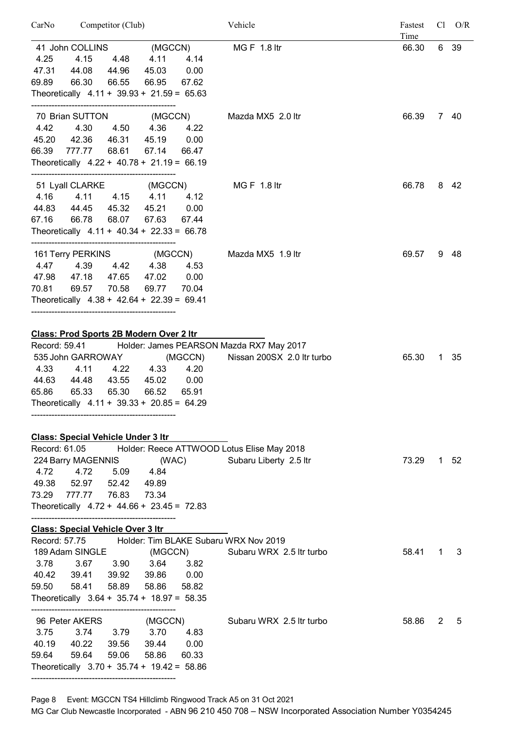| CarNo                                   | Competitor (Club)                                                                                                                                                |                                                            | Vehicle                                                                | Fastest<br>Time |   | $Cl$ $O/R$ |
|-----------------------------------------|------------------------------------------------------------------------------------------------------------------------------------------------------------------|------------------------------------------------------------|------------------------------------------------------------------------|-----------------|---|------------|
|                                         | 41 John COLLINS                                                                                                                                                  | (MGCCN)                                                    | <b>MGF 1.8 ltr</b>                                                     | 66.30           |   | 6 39       |
| 4.25                                    | 4.15<br>4.48                                                                                                                                                     | 4.11<br>4.14                                               |                                                                        |                 |   |            |
| 47.31                                   | 44.08<br>44.96                                                                                                                                                   | 45.03<br>0.00                                              |                                                                        |                 |   |            |
| 69.89                                   | 66.30<br>66.55                                                                                                                                                   | 66.95<br>67.62                                             |                                                                        |                 |   |            |
|                                         | Theoretically $4.11 + 39.93 + 21.59 = 65.63$                                                                                                                     |                                                            |                                                                        |                 |   |            |
|                                         | 70 Brian SUTTON                                                                                                                                                  | (MGCCN)                                                    | Mazda MX5 2.0 ltr                                                      | 66.39           |   | 7 40       |
| 4.42                                    | 4.30<br>4.50                                                                                                                                                     | 4.36<br>4.22                                               |                                                                        |                 |   |            |
|                                         | 45.20 42.36<br>46.31                                                                                                                                             | 45.19<br>0.00                                              |                                                                        |                 |   |            |
|                                         | 66.39 777.77<br>68.61                                                                                                                                            | 67.14<br>66.47                                             |                                                                        |                 |   |            |
|                                         | Theoretically $4.22 + 40.78 + 21.19 = 66.19$                                                                                                                     |                                                            |                                                                        |                 |   |            |
|                                         | 51 Lyall CLARKE                                                                                                                                                  | (MGCCN)                                                    | <b>MG F 1.8 ltr</b>                                                    | 66.78           |   | 8 42       |
| 4.16                                    | 4.11<br>4.15                                                                                                                                                     | 4.11<br>4.12                                               |                                                                        |                 |   |            |
| 44.83                                   | 44.45<br>45.32                                                                                                                                                   | 45.21<br>0.00                                              |                                                                        |                 |   |            |
| 67.16                                   | 66.78<br>68.07                                                                                                                                                   | 67.63<br>67.44                                             |                                                                        |                 |   |            |
|                                         | Theoretically $4.11 + 40.34 + 22.33 = 66.78$                                                                                                                     |                                                            |                                                                        |                 |   |            |
|                                         | 161 Terry PERKINS                                                                                                                                                | (MGCCN)                                                    | Mazda MX5 1.9 ltr                                                      | 69.57           |   | 9 48       |
| 4.47                                    | 4.39<br>4.42                                                                                                                                                     | 4.38<br>4.53                                               |                                                                        |                 |   |            |
|                                         | 47.98 47.18<br>47.65                                                                                                                                             | 47.02<br>0.00                                              |                                                                        |                 |   |            |
| 70.81                                   | 69.57<br>70.58                                                                                                                                                   | 69.77<br>70.04                                             |                                                                        |                 |   |            |
|                                         | Theoretically $4.38 + 42.64 + 22.39 = 69.41$                                                                                                                     |                                                            |                                                                        |                 |   |            |
| Record: 59.41<br>4.33<br>44.63<br>65.86 | Class: Prod Sports 2B Modern Over 2 Itr<br>535 John GARROWAY<br>4.11<br>4.22<br>44.48<br>43.55<br>65.33<br>65.30<br>Theoretically $4.11 + 39.33 + 20.85 = 64.29$ | (MGCCN)<br>4.33<br>4.20<br>45.02<br>0.00<br>66.52<br>65.91 | Holder: James PEARSON Mazda RX7 May 2017<br>Nissan 200SX 2.0 ltr turbo | 65.30           | 1 | 35         |
|                                         |                                                                                                                                                                  |                                                            |                                                                        |                 |   |            |
| Record: 61.05                           | <b>Class: Special Vehicle Under 3 Itr</b>                                                                                                                        |                                                            | Holder: Reece ATTWOOD Lotus Elise May 2018                             |                 |   |            |
|                                         | 224 Barry MAGENNIS                                                                                                                                               | (WAC)                                                      | Subaru Liberty 2.5 ltr                                                 | 73.29           |   | 1 52       |
| 4.72                                    | 4.72<br>5.09                                                                                                                                                     | 4.84                                                       |                                                                        |                 |   |            |
|                                         | 49.38 52.97 52.42 49.89                                                                                                                                          |                                                            |                                                                        |                 |   |            |
|                                         | 73.29 777.77 76.83                                                                                                                                               | 73.34                                                      |                                                                        |                 |   |            |
|                                         | Theoretically $4.72 + 44.66 + 23.45 = 72.83$                                                                                                                     |                                                            |                                                                        |                 |   |            |
|                                         | <b>Class: Special Vehicle Over 3 Itr</b>                                                                                                                         |                                                            |                                                                        |                 |   |            |
| Record: 57.75                           |                                                                                                                                                                  | Holder: Tim BLAKE Subaru WRX Nov 2019                      |                                                                        |                 |   |            |
|                                         | 189 Adam SINGLE                                                                                                                                                  | (MGCCN)                                                    | Subaru WRX 2.5 Itr turbo                                               | 58.41           | 1 | 3          |
| 3.78                                    | 3.67<br>3.90                                                                                                                                                     | 3.64<br>3.82                                               |                                                                        |                 |   |            |
|                                         | 40.42 39.41 39.92 39.86 0.00                                                                                                                                     |                                                            |                                                                        |                 |   |            |
| 59.50                                   | 58.41<br>58.89                                                                                                                                                   | 58.86<br>58.82                                             |                                                                        |                 |   |            |
|                                         | Theoretically $3.64 + 35.74 + 18.97 = 58.35$                                                                                                                     |                                                            |                                                                        |                 |   |            |
|                                         | 96 Peter AKERS                                                                                                                                                   | (MGCCN)                                                    | Subaru WRX 2.5 Itr turbo                                               | 58.86           | 2 | 5          |
| 3.75                                    | 3.74<br>3.79                                                                                                                                                     | 3.70<br>4.83                                               |                                                                        |                 |   |            |
|                                         | 40.19 40.22<br>39.56                                                                                                                                             | 39.44 0.00                                                 |                                                                        |                 |   |            |
| 59.64                                   | 59.64<br>59.06                                                                                                                                                   | 58.86<br>60.33                                             |                                                                        |                 |   |            |

Page 8 Event: MGCCN TS4 Hillclimb Ringwood Track A5 on 31 Oct 2021

Theoretically 3.70 + 35.74 + 19.42 = 58.86

--------------------------------------------------

MG Car Club Newcastle Incorporated - ABN 96 210 450 708 – NSW Incorporated Association Number Y0354245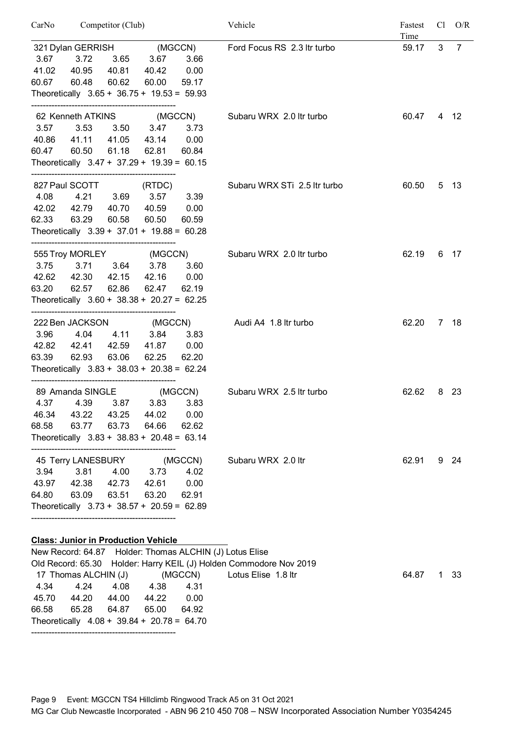| CarNo                  | Competitor (Club)                                                                                                                                                          |                             |                                             |                                  | Vehicle                                                 | Fastest<br>Cl<br>Time |   | O/R            |
|------------------------|----------------------------------------------------------------------------------------------------------------------------------------------------------------------------|-----------------------------|---------------------------------------------|----------------------------------|---------------------------------------------------------|-----------------------|---|----------------|
| 3.67<br>41.02<br>60.67 | 321 Dylan GERRISH (MGCCN)<br>3.65 3.67<br>3.72<br>3.66<br>40.95<br>0.00<br>40.81 40.42<br>60.48<br>60.62<br>60.00<br>59.17<br>Theoretically $3.65 + 36.75 + 19.53 = 59.93$ |                             |                                             |                                  | Ford Focus RS 2.3 ltr turbo                             | 59.17                 | 3 | $\overline{7}$ |
| 3.57<br>40.86<br>60.47 | 62 Kenneth ATKINS<br>3.53<br>41.11<br>60.50<br>Theoretically $3.47 + 37.29 + 19.39 = 60.15$                                                                                | 3.50<br>41.05<br>61.18      | 3.47<br>43.14<br>62.81                      | (MGCCN)<br>3.73<br>0.00<br>60.84 | Subaru WRX 2.0 Itr turbo                                | 60.47                 |   | 4 12           |
| 4.08<br>62.33          | 827 Paul SCOTT<br>42.02  42.79  40.70  40.59  0.00<br>63.29<br>Theoretically $3.39 + 37.01 + 19.88 = 60.28$                                                                | 4.21 3.69<br>60.58          | (RTDC)<br>$3.57$ $3.39$<br>60.50            | 60.59                            | Subaru WRX STi 2.5 ltr turbo                            | 60.50                 |   | 5 13           |
| 3.75<br>42.62<br>63.20 | 555 Troy MORLEY (MGCCN)<br>42.30<br>62.57<br>Theoretically $3.60 + 38.38 + 20.27 = 62.25$<br>------------------------------------                                          | 62.86                       | 3.71 3.64 3.78<br>42.15 42.16 0.00<br>62.47 | 3.60<br>62.19                    | Subaru WRX 2.0 Itr turbo                                | 62.19                 |   | 6 17           |
| 3.96<br>42.82<br>63.39 | 222 Ben JACKSON<br>4.04<br>42.41<br>62.93<br>Theoretically $3.83 + 38.03 + 20.38 = 62.24$                                                                                  | 4.11 3.84<br>42.59<br>63.06 | (MGCCN)<br>41.87<br>62.25                   | 3.83<br>0.00<br>62.20            | Audi A4 1.8 ltr turbo                                   | 62.20                 |   | 7 18           |
| 4.37<br>46.34<br>68.58 | 89 Amanda SINGLE<br>4.39<br>43.22<br>63.77<br>Theoretically $3.83 + 38.83 + 20.48 = 63.14$                                                                                 | 3.87<br>43.25<br>63.73      | 3.83<br>44.02<br>64.66                      | (MGCCN)<br>3.83<br>0.00<br>62.62 | Subaru WRX 2.5 ltr turbo                                | 62.62                 | 8 | -23            |
| 3.94<br>64.80          | 45 Terry LANESBURY<br>3.81<br>43.97 42.38 42.73<br>63.09<br>Theoretically $3.73 + 38.57 + 20.59 = 62.89$<br><b>Class: Junior in Production Vehicle</b>                     | 4.00<br>63.51               | 3.73<br>42.61<br>63.20                      | (MGCCN)<br>4.02<br>0.00<br>62.91 | Subaru WRX 2.0 ltr                                      | 62.91                 |   | 9 24           |
|                        |                                                                                                                                                                            |                             |                                             |                                  | New Record: 64.87 Holder: Thomas ALCHIN (I) Lotus Flise |                       |   |                |

|       |                                              |       |                                                           |       | New Record: 64.87 Holder: Thomas ALCHIN (J) Lotus Elise            |            |  |
|-------|----------------------------------------------|-------|-----------------------------------------------------------|-------|--------------------------------------------------------------------|------------|--|
|       |                                              |       |                                                           |       | Old Record: 65.30 Holder: Harry KEIL (J) Holden Commodore Nov 2019 |            |  |
|       |                                              |       | 17 Thomas ALCHIN (J)      (MGCCN)    Lotus Elise  1.8 ltr |       |                                                                    | 64.87 1 33 |  |
|       | 4.34 4.24                                    |       | 4.08 4.38 4.31                                            |       |                                                                    |            |  |
| 45.70 | 44.20                                        | 44.00 | 44.22                                                     | 0.00  |                                                                    |            |  |
|       | 66.58 65.28 64.87                            |       | 65.00                                                     | 64.92 |                                                                    |            |  |
|       | Theoretically $4.08 + 39.84 + 20.78 = 64.70$ |       |                                                           |       |                                                                    |            |  |
|       |                                              |       |                                                           |       |                                                                    |            |  |